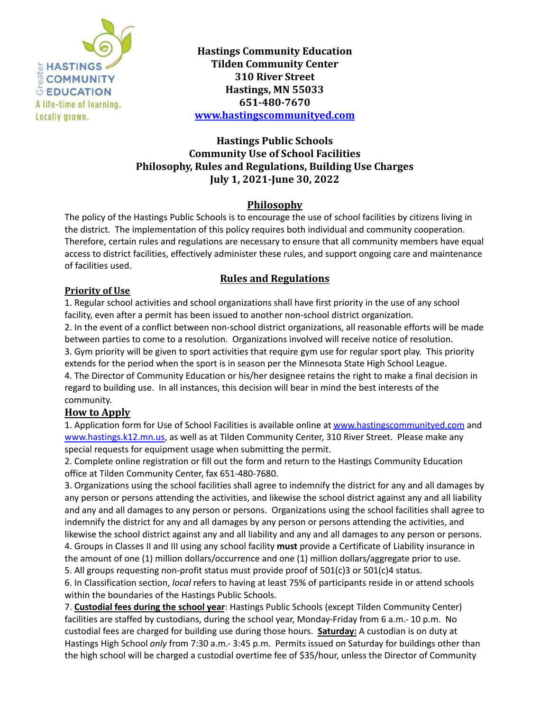

**Hastings Community Education Tilden Community Center 310 River Street Hastings, MN 55033 651-480-7670 [www.hastingscommunityed.com](http://www.hastingscommunityed.com)**

## **Hastings Public Schools Community Use of School Facilities Philosophy, Rules and Regulations, Building Use Charges July 1, 2021-June 30, 2022**

### **Philosophy**

The policy of the Hastings Public Schools is to encourage the use of school facilities by citizens living in the district. The implementation of this policy requires both individual and community cooperation. Therefore, certain rules and regulations are necessary to ensure that all community members have equal access to district facilities, effectively administer these rules, and support ongoing care and maintenance of facilities used.

## **Rules and Regulations**

#### **Priority of Use**

1. Regular school activities and school organizations shall have first priority in the use of any school facility, even after a permit has been issued to another non-school district organization. 2. In the event of a conflict between non-school district organizations, all reasonable efforts will be made

between parties to come to a resolution. Organizations involved will receive notice of resolution. 3. Gym priority will be given to sport activities that require gym use for regular sport play. This priority extends for the period when the sport is in season per the Minnesota State High School League.

4. The Director of Community Education or his/her designee retains the right to make a final decision in regard to building use. In all instances, this decision will bear in mind the best interests of the community.

#### **How to Apply**

1. Application form for Use of School Facilities is available online at [www.hastingscommunityed.com](http://www.hastingscommunityed.com) and [www.hastings.k12.mn.us](http://www.hastings.k12.mn.us), as well as at Tilden Community Center, 310 River Street. Please make any special requests for equipment usage when submitting the permit.

2. Complete online registration or fill out the form and return to the Hastings Community Education office at Tilden Community Center, fax 651-480-7680.

3. Organizations using the school facilities shall agree to indemnify the district for any and all damages by any person or persons attending the activities, and likewise the school district against any and all liability and any and all damages to any person or persons. Organizations using the school facilities shall agree to indemnify the district for any and all damages by any person or persons attending the activities, and likewise the school district against any and all liability and any and all damages to any person or persons.

4. Groups in Classes II and III using any school facility **must** provide a Certificate of Liability insurance in the amount of one (1) million dollars/occurrence and one (1) million dollars/aggregate prior to use.

5. All groups requesting non-profit status must provide proof of 501(c)3 or 501(c)4 status.

6. In Classification section, *local* refers to having at least 75% of participants reside in or attend schools within the boundaries of the Hastings Public Schools.

7. **Custodial fees during the school year**: Hastings Public Schools (except Tilden Community Center) facilities are staffed by custodians, during the school year, Monday-Friday from 6 a.m.- 10 p.m. No custodial fees are charged for building use during those hours. **Saturday:** A custodian is on duty at Hastings High School *only* from 7:30 a.m.- 3:45 p.m. Permits issued on Saturday for buildings other than the high school will be charged a custodial overtime fee of \$35/hour, unless the Director of Community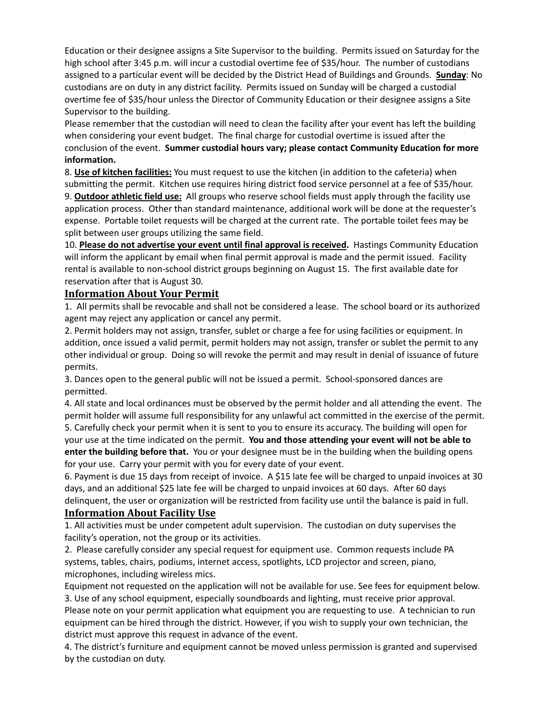Education or their designee assigns a Site Supervisor to the building. Permits issued on Saturday for the high school after 3:45 p.m. will incur a custodial overtime fee of \$35/hour. The number of custodians assigned to a particular event will be decided by the District Head of Buildings and Grounds. **Sunday**: No custodians are on duty in any district facility. Permits issued on Sunday will be charged a custodial overtime fee of \$35/hour unless the Director of Community Education or their designee assigns a Site Supervisor to the building.

Please remember that the custodian will need to clean the facility after your event has left the building when considering your event budget. The final charge for custodial overtime is issued after the conclusion of the event. **Summer custodial hours vary; please contact Community Education for more information.**

8. **Use of kitchen facilities:** You must request to use the kitchen (in addition to the cafeteria) when submitting the permit. Kitchen use requires hiring district food service personnel at a fee of \$35/hour.

9. **Outdoor athletic field use:** All groups who reserve school fields must apply through the facility use application process. Other than standard maintenance, additional work will be done at the requester's expense. Portable toilet requests will be charged at the current rate. The portable toilet fees may be split between user groups utilizing the same field.

10. **Please do not advertise your event until final approval is received.** Hastings Community Education will inform the applicant by email when final permit approval is made and the permit issued. Facility rental is available to non-school district groups beginning on August 15. The first available date for reservation after that is August 30.

#### **Information About Your Permit**

1. All permits shall be revocable and shall not be considered a lease. The school board or its authorized agent may reject any application or cancel any permit.

2. Permit holders may not assign, transfer, sublet or charge a fee for using facilities or equipment. In addition, once issued a valid permit, permit holders may not assign, transfer or sublet the permit to any other individual or group. Doing so will revoke the permit and may result in denial of issuance of future permits.

3. Dances open to the general public will not be issued a permit. School-sponsored dances are permitted.

4. All state and local ordinances must be observed by the permit holder and all attending the event. The permit holder will assume full responsibility for any unlawful act committed in the exercise of the permit.

5. Carefully check your permit when it is sent to you to ensure its accuracy. The building will open for your use at the time indicated on the permit. **You and those attending your event will not be able to enter the building before that.** You or your designee must be in the building when the building opens for your use. Carry your permit with you for every date of your event.

6. Payment is due 15 days from receipt of invoice. A \$15 late fee will be charged to unpaid invoices at 30 days, and an additional \$25 late fee will be charged to unpaid invoices at 60 days. After 60 days delinquent, the user or organization will be restricted from facility use until the balance is paid in full.

#### **Information About Facility Use**

1. All activities must be under competent adult supervision. The custodian on duty supervises the facility's operation, not the group or its activities.

2. Please carefully consider any special request for equipment use. Common requests include PA systems, tables, chairs, podiums, internet access, spotlights, LCD projector and screen, piano, microphones, including wireless mics.

Equipment not requested on the application will not be available for use. See fees for equipment below. 3. Use of any school equipment, especially soundboards and lighting, must receive prior approval.

Please note on your permit application what equipment you are requesting to use. A technician to run equipment can be hired through the district. However, if you wish to supply your own technician, the district must approve this request in advance of the event.

4. The district's furniture and equipment cannot be moved unless permission is granted and supervised by the custodian on duty.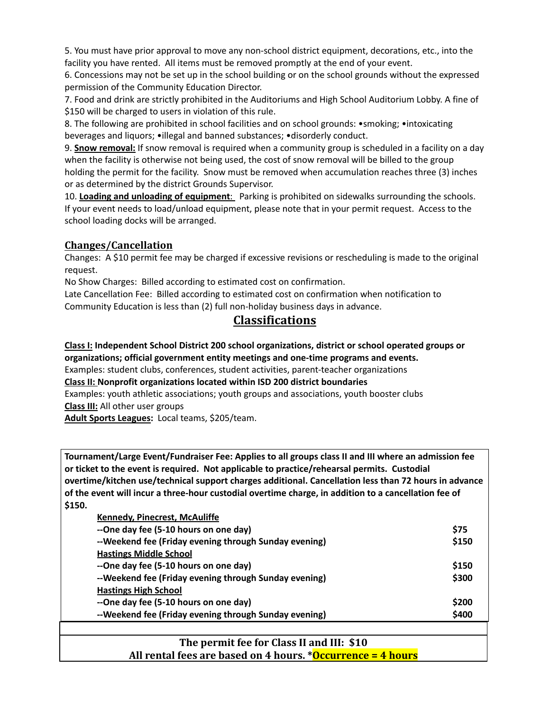5. You must have prior approval to move any non-school district equipment, decorations, etc., into the facility you have rented. All items must be removed promptly at the end of your event.

6. Concessions may not be set up in the school building or on the school grounds without the expressed permission of the Community Education Director.

7. Food and drink are strictly prohibited in the Auditoriums and High School Auditorium Lobby. A fine of \$150 will be charged to users in violation of this rule.

8. The following are prohibited in school facilities and on school grounds: •smoking; •intoxicating beverages and liquors; •illegal and banned substances; •disorderly conduct.

9. **Snow removal:** If snow removal is required when a community group is scheduled in a facility on a day when the facility is otherwise not being used, the cost of snow removal will be billed to the group holding the permit for the facility. Snow must be removed when accumulation reaches three (3) inches or as determined by the district Grounds Supervisor.

10. **Loading and unloading of equipment**: Parking is prohibited on sidewalks surrounding the schools. If your event needs to load/unload equipment, please note that in your permit request. Access to the school loading docks will be arranged.

## **Changes/Cancellation**

Changes: A \$10 permit fee may be charged if excessive revisions or rescheduling is made to the original request.

No Show Charges: Billed according to estimated cost on confirmation.

Late Cancellation Fee: Billed according to estimated cost on confirmation when notification to Community Education is less than (2) full non-holiday business days in advance.

# **Classifications**

**Class I: Independent School District 200 school organizations, district or school operated groups or organizations; official government entity meetings and one-time programs and events.**

Examples: student clubs, conferences, student activities, parent-teacher organizations

**Class II: Nonprofit organizations located within ISD 200 district boundaries**

Examples: youth athletic associations; youth groups and associations, youth booster clubs

**Class III:** All other user groups

**Adult Sports Leagues:** Local teams, \$205/team.

**Tournament/Large Event/Fundraiser Fee: Applies to all groups class II and III where an admission fee or ticket to the event is required. Not applicable to practice/rehearsal permits. Custodial overtime/kitchen use/technical support charges additional. Cancellation less than 72 hours in advance of the event will incur a three-hour custodial overtime charge, in addition to a cancellation fee of \$150.**

| Kennedy, Pinecrest, McAuliffe                         |             |
|-------------------------------------------------------|-------------|
| --One day fee (5-10 hours on one day)                 | <b>\$75</b> |
| --Weekend fee (Friday evening through Sunday evening) | \$150       |
| <b>Hastings Middle School</b>                         |             |
| --One day fee (5-10 hours on one day)                 | \$150       |
| --Weekend fee (Friday evening through Sunday evening) | \$300       |
| <b>Hastings High School</b>                           |             |
| --One day fee (5-10 hours on one day)                 | \$200       |
| --Weekend fee (Friday evening through Sunday evening) | \$400       |
|                                                       |             |

## **The permit fee for Class II and III: \$10 All rental fees are based on 4 hours. \*Occurrence = 4 hours**